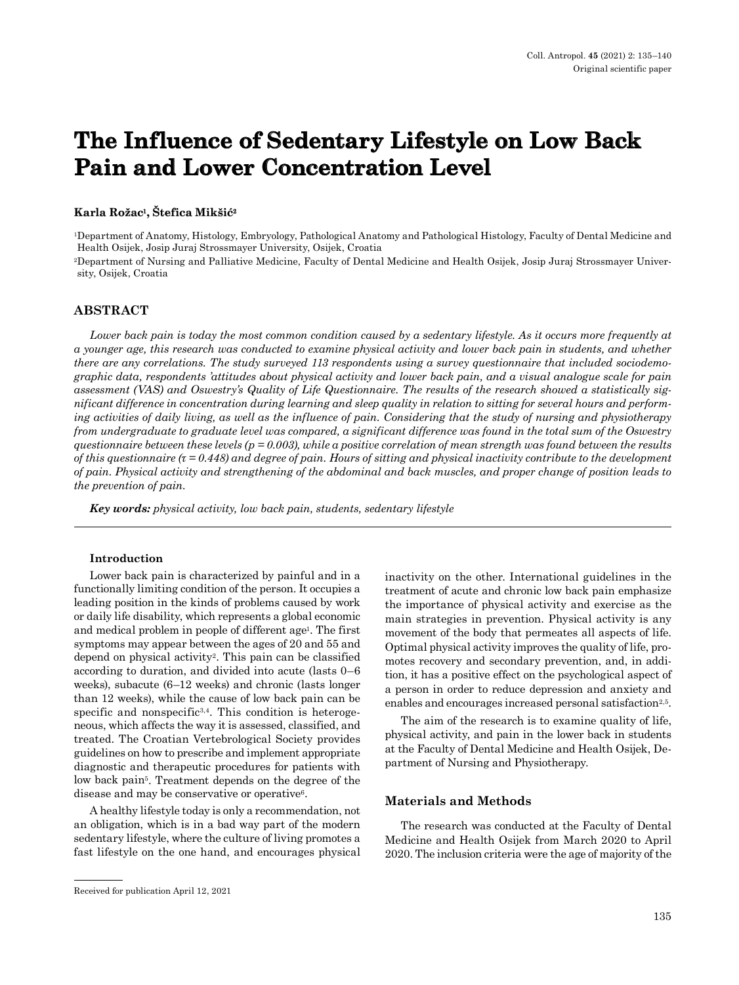# **The Influence of Sedentary Lifestyle on Low Back Pain and Lower Concentration Level**

#### **Karla Rožac1, Štefica Mikšić<sup>2</sup>**

1Department of Anatomy, Histology, Embryology, Pathological Anatomy and Pathological Histology, Faculty of Dental Medicine and Health Osijek, Josip Juraj Strossmayer University, Osijek, Croatia

2Department of Nursing and Palliative Medicine, Faculty of Dental Medicine and Health Osijek, Josip Juraj Strossmayer University, Osijek, Croatia

### **ABSTRACT**

Lower back pain is today the most common condition caused by a sedentary lifestyle. As it occurs more frequently at *a younger age, this research was conducted to examine physical activity and lower back pain in students, and whether there are any correlations. The study surveyed 113 respondents using a survey questionnaire that included sociodemographic data, respondents 'attitudes about physical activity and lower back pain, and a visual analogue scale for pain assessment (VAS) and Oswestry's Quality of Life Questionnaire. The results of the research showed a statistically significant difference in concentration during learning and sleep quality in relation to sitting for several hours and performing activities of daily living, as well as the influence of pain. Considering that the study of nursing and physiotherapy from undergraduate to graduate level was compared, a significant difference was found in the total sum of the Oswestry questionnaire between these levels (p = 0.003), while a positive correlation of mean strength was found between the results of this questionnaire (τ = 0.448) and degree of pain. Hours of sitting and physical inactivity contribute to the development of pain. Physical activity and strengthening of the abdominal and back muscles, and proper change of position leads to the prevention of pain.*

*Key words: physical activity, low back pain, students, sedentary lifestyle*

#### **Introduction**

Lower back pain is characterized by painful and in a functionally limiting condition of the person. It occupies a leading position in the kinds of problems caused by work or daily life disability, which represents a global economic and medical problem in people of different age<sup>1</sup>. The first symptoms may appear between the ages of 20 and 55 and depend on physical activity2. This pain can be classified according to duration, and divided into acute (lasts 0–6 weeks), subacute (6–12 weeks) and chronic (lasts longer than 12 weeks), while the cause of low back pain can be specific and nonspecific<sup>3,4</sup>. This condition is heterogeneous, which affects the way it is assessed, classified, and treated. The Croatian Vertebrological Society provides guidelines on how to prescribe and implement appropriate diagnostic and therapeutic procedures for patients with low back pain<sup>5</sup>. Treatment depends on the degree of the disease and may be conservative or operative<sup>6</sup>.

A healthy lifestyle today is only a recommendation, not an obligation, which is in a bad way part of the modern sedentary lifestyle, where the culture of living promotes a fast lifestyle on the one hand, and encourages physical inactivity on the other. International guidelines in the treatment of acute and chronic low back pain emphasize the importance of physical activity and exercise as the main strategies in prevention. Physical activity is any movement of the body that permeates all aspects of life. Optimal physical activity improves the quality of life, promotes recovery and secondary prevention, and, in addition, it has a positive effect on the psychological aspect of a person in order to reduce depression and anxiety and enables and encourages increased personal satisfaction<sup>2,5</sup>.

The aim of the research is to examine quality of life, physical activity, and pain in the lower back in students at the Faculty of Dental Medicine and Health Osijek, Department of Nursing and Physiotherapy.

#### **Materials and Methods**

The research was conducted at the Faculty of Dental Medicine and Health Osijek from March 2020 to April 2020. The inclusion criteria were the age of majority of the

Received for publication April 12, 2021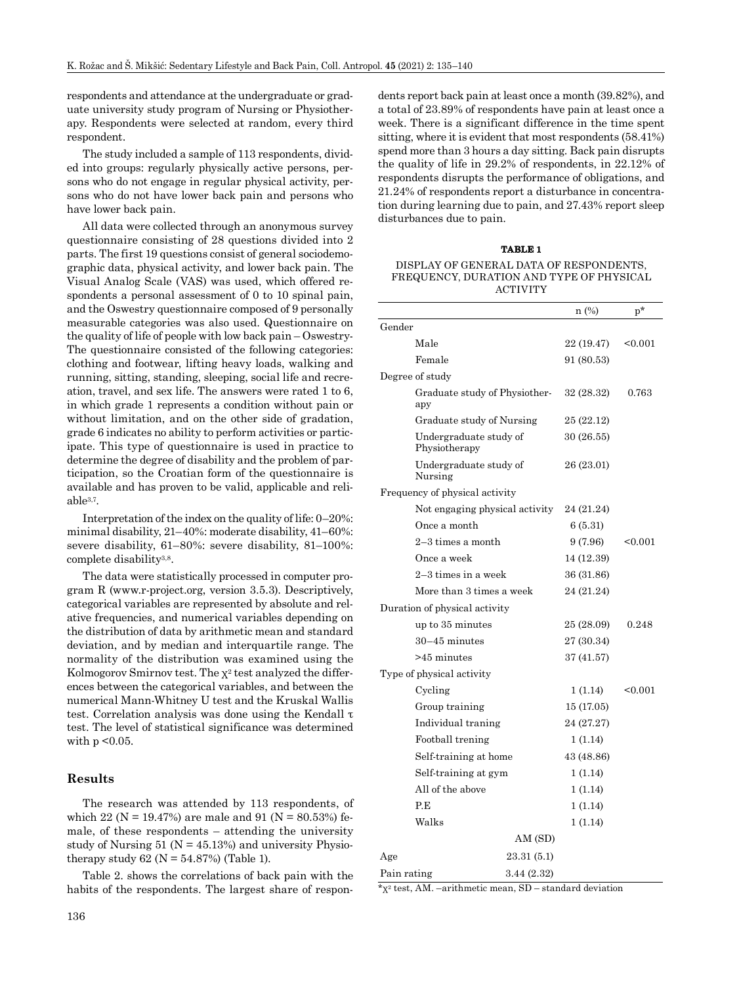respondents and attendance at the undergraduate or graduate university study program of Nursing or Physiotherapy. Respondents were selected at random, every third respondent.

The study included a sample of 113 respondents, divided into groups: regularly physically active persons, persons who do not engage in regular physical activity, persons who do not have lower back pain and persons who have lower back pain.

All data were collected through an anonymous survey questionnaire consisting of 28 questions divided into 2 parts. The first 19 questions consist of general sociodemographic data, physical activity, and lower back pain. The Visual Analog Scale (VAS) was used, which offered respondents a personal assessment of 0 to 10 spinal pain, and the Oswestry questionnaire composed of 9 personally measurable categories was also used. Questionnaire on the quality of life of people with low back pain – Oswestry-The questionnaire consisted of the following categories: clothing and footwear, lifting heavy loads, walking and running, sitting, standing, sleeping, social life and recreation, travel, and sex life. The answers were rated 1 to 6, in which grade 1 represents a condition without pain or without limitation, and on the other side of gradation, grade 6 indicates no ability to perform activities or participate. This type of questionnaire is used in practice to determine the degree of disability and the problem of participation, so the Croatian form of the questionnaire is available and has proven to be valid, applicable and reliable3,7.

Interpretation of the index on the quality of life: 0–20%: minimal disability, 21–40%: moderate disability, 41–60%: severe disability, 61–80%: severe disability, 81–100%: complete disability<sup>3,8</sup>.

The data were statistically processed in computer program R (www.r-project.org, version 3.5.3). Descriptively, categorical variables are represented by absolute and relative frequencies, and numerical variables depending on the distribution of data by arithmetic mean and standard deviation, and by median and interquartile range. The normality of the distribution was examined using the Kolmogorov Smirnov test. The  $x^2$  test analyzed the differences between the categorical variables, and between the numerical Mann-Whitney U test and the Kruskal Wallis test. Correlation analysis was done using the Kendall τ test. The level of statistical significance was determined with  $p < 0.05$ .

### **Results**

The research was attended by 113 respondents, of which 22 ( $N = 19.47\%$ ) are male and 91 ( $N = 80.53\%$ ) female, of these respondents – attending the university study of Nursing  $51$  (N =  $45.13%$ ) and university Physiotherapy study  $62$  (N =  $54.87%$ ) (Table 1).

Table 2. shows the correlations of back pain with the habits of the respondents. The largest share of respondents report back pain at least once a month (39.82%), and a total of 23.89% of respondents have pain at least once a week. There is a significant difference in the time spent sitting, where it is evident that most respondents (58.41%) spend more than 3 hours a day sitting. Back pain disrupts the quality of life in 29.2% of respondents, in 22.12% of respondents disrupts the performance of obligations, and 21.24% of respondents report a disturbance in concentration during learning due to pain, and 27.43% report sleep disturbances due to pain.

#### **TABLE 1**

#### DISPLAY OF GENERAL DATA OF RESPONDENTS, FREQUENCY, DURATION AND TYPE OF PHYSICAL ACTIVITY

|                 |                                         |             | $n$ (%)    | $p^*$   |
|-----------------|-----------------------------------------|-------------|------------|---------|
| Gender          |                                         |             |            |         |
|                 | Male                                    |             | 22 (19.47) | < 0.001 |
|                 | Female                                  |             | 91 (80.53) |         |
| Degree of study |                                         |             |            |         |
|                 | Graduate study of Physiother-<br>apy    |             | 32 (28.32) | 0.763   |
|                 | Graduate study of Nursing               |             | 25 (22.12) |         |
|                 | Undergraduate study of<br>Physiotherapy |             | 30 (26.55) |         |
|                 | Undergraduate study of<br>Nursing       |             | 26 (23.01) |         |
|                 | Frequency of physical activity          |             |            |         |
|                 | Not engaging physical activity          |             | 24 (21.24) |         |
|                 | Once a month                            |             | 6(5.31)    |         |
|                 | $2-3$ times a month                     |             | 9(7.96)    | < 0.001 |
|                 | Once a week                             |             | 14 (12.39) |         |
|                 | $2-3$ times in a week                   |             | 36 (31.86) |         |
|                 | More than 3 times a week                |             | 24 (21.24) |         |
|                 | Duration of physical activity           |             |            |         |
|                 | up to 35 minutes                        |             | 25 (28.09) | 0.248   |
|                 | $30-45$ minutes                         |             | 27 (30.34) |         |
|                 | $>45$ minutes                           |             | 37 (41.57) |         |
|                 | Type of physical activity               |             |            |         |
|                 | Cycling                                 |             | 1 (1.14)   | < 0.001 |
|                 | Group training                          |             | 15 (17.05) |         |
|                 | Individual traning                      |             | 24 (27.27) |         |
|                 | Football trening                        |             | 1 (1.14)   |         |
|                 | Self-training at home                   |             | 43 (48.86) |         |
|                 | Self-training at gym                    |             | 1(1.14)    |         |
|                 | All of the above                        |             | 1(1.14)    |         |
|                 | P.E                                     |             | 1(1.14)    |         |
|                 | Walks                                   |             | 1(1.14)    |         |
|                 |                                         | AM (SD)     |            |         |
| Age             |                                         | 23.31 (5.1) |            |         |
| Pain rating     |                                         | 3.44 (2.32) |            |         |

 $x^*$ <sup>2</sup> test, AM. –arithmetic mean, SD – standard deviation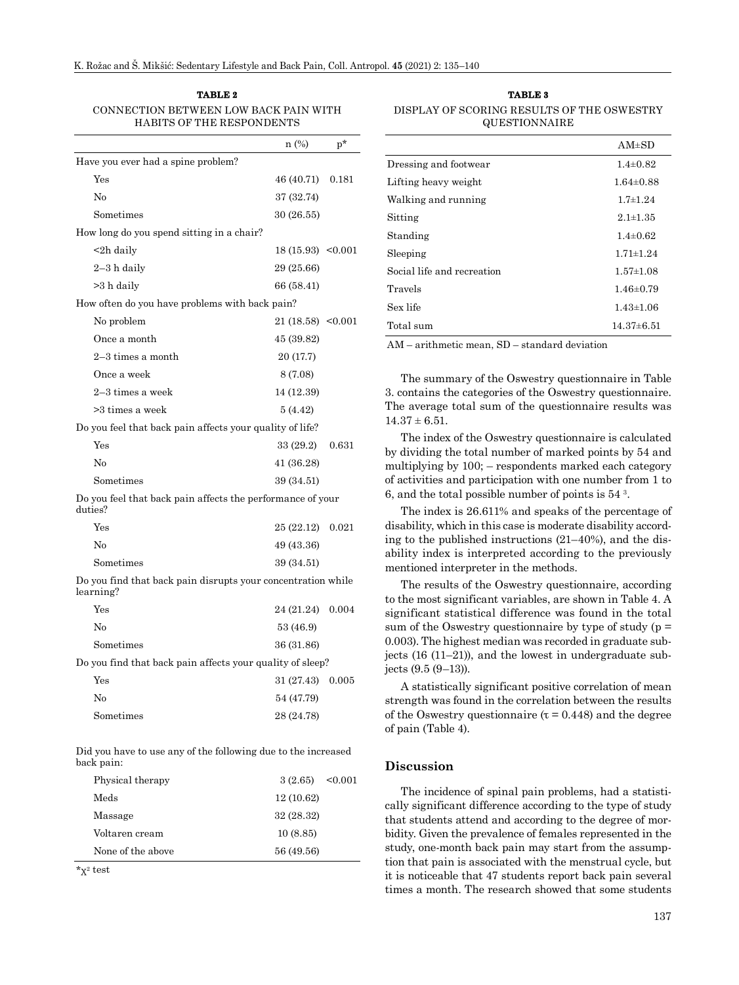**TABLE 2**  CONNECTION BETWEEN LOW BACK PAIN WITH HABITS OF THE RESPONDENTS

|                                                                           | $n$ (%)              | $p^*$ |
|---------------------------------------------------------------------------|----------------------|-------|
| Have you ever had a spine problem?                                        |                      |       |
| Yes                                                                       | 46 (40.71)           | 0.181 |
| No                                                                        | 37 (32.74)           |       |
| Sometimes                                                                 | 30(26.55)            |       |
| How long do you spend sitting in a chair?                                 |                      |       |
| <2h daily                                                                 | $18(15.93)$ < 0.001  |       |
| 2–3 h daily                                                               | 29 (25.66)           |       |
| >3 h daily                                                                | 66 (58.41)           |       |
| How often do you have problems with back pain?                            |                      |       |
| No problem                                                                | $21(18.58)$ < 0.001  |       |
| Once a month                                                              | 45 (39.82)           |       |
| $2-3$ times a month                                                       | 20 (17.7)            |       |
| Once a week                                                               | 8(7.08)              |       |
| $2-3$ times a week                                                        | 14 (12.39)           |       |
| >3 times a week                                                           | 5(4.42)              |       |
| Do you feel that back pain affects your quality of life?                  |                      |       |
| Yes                                                                       | 33 (29.2)            | 0.631 |
| No                                                                        | 41 (36.28)           |       |
| Sometimes                                                                 | 39 (34.51)           |       |
| Do you feel that back pain affects the performance of your<br>duties?     |                      |       |
| Yes                                                                       | 25 (22.12) 0.021     |       |
| No                                                                        | 49 (43.36)           |       |
| Sometimes                                                                 | 39 (34.51)           |       |
| Do you find that back pain disrupts your concentration while<br>learning? |                      |       |
| $V_{\alpha\alpha}$                                                        | $94/91.94 \pm 0.004$ |       |

Yes 24 (21.24) 0.004 No 53 (46.9) Sometimes 36 (31.86) Do you find that back pain affects your quality of sleep? Yes 31 (27.43) 0.005 No 54 (47.79) Sometimes 28 (24.78)

Did you have to use any of the following due to the increased back pain:

| Physical therapy  | $3(2.65)$ < 0.001 |
|-------------------|-------------------|
| Meds              | 12(10.62)         |
| Massage           | 32 (28.32)        |
| Voltaren cream    | 10(8.85)          |
| None of the above | 56 (49.56)        |

\*χ2 test

**TABLE 3** DISPLAY OF SCORING RESULTS OF THE OSWESTRY QUESTIONNAIRE

| $AM\pm SD$      |
|-----------------|
| $1.4 \pm 0.82$  |
| $1.64 \pm 0.88$ |
| $1.7 \pm 1.24$  |
| $2.1 \pm 1.35$  |
| $1.4 \pm 0.62$  |
| $1.71 \pm 1.24$ |
| $1.57 \pm 1.08$ |
| $1.46 \pm 0.79$ |
| $1.43 \pm 1.06$ |
| $14.37\pm 6.51$ |
|                 |

AM – arithmetic mean, SD – standard deviation

The summary of the Oswestry questionnaire in Table 3. contains the categories of the Oswestry questionnaire. The average total sum of the questionnaire results was  $14.37 \pm 6.51$ .

The index of the Oswestry questionnaire is calculated by dividing the total number of marked points by 54 and multiplying by 100; – respondents marked each category of activities and participation with one number from 1 to 6, and the total possible number of points is 54 3.

The index is 26.611% and speaks of the percentage of disability, which in this case is moderate disability according to the published instructions (21–40%), and the disability index is interpreted according to the previously mentioned interpreter in the methods.

The results of the Oswestry questionnaire, according to the most significant variables, are shown in Table 4. A significant statistical difference was found in the total sum of the Oswestry questionnaire by type of study ( $p =$ 0.003). The highest median was recorded in graduate subjects (16 (11–21)), and the lowest in undergraduate subjects (9.5 (9–13)).

A statistically significant positive correlation of mean strength was found in the correlation between the results of the Oswestry questionnaire ( $\tau$  = 0.448) and the degree of pain (Table 4).

#### **Discussion**

The incidence of spinal pain problems, had a statistically significant difference according to the type of study that students attend and according to the degree of morbidity. Given the prevalence of females represented in the study, one-month back pain may start from the assumption that pain is associated with the menstrual cycle, but it is noticeable that 47 students report back pain several times a month. The research showed that some students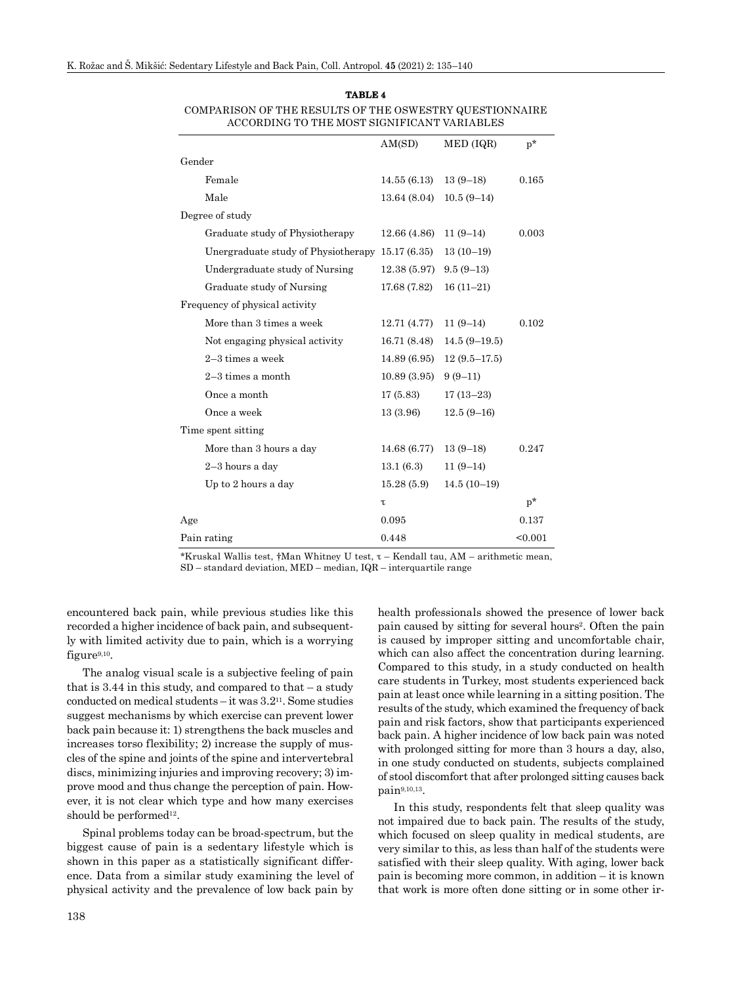#### **TABLE 4**

COMPARISON OF THE RESULTS OF THE OSWESTRY QUESTIONNAIRE ACCORDING TO THE MOST SIGNIFICANT VARIABLES

|                                                  | AM(SD)       | MED (IQR)      | $p^*$   |
|--------------------------------------------------|--------------|----------------|---------|
| Gender                                           |              |                |         |
| Female                                           | 14.55(6.13)  | $13(9-18)$     | 0.165   |
| Male                                             | 13.64(8.04)  | $10.5(9-14)$   |         |
| Degree of study                                  |              |                |         |
| Graduate study of Physiotherapy                  | 12.66 (4.86) | $11(9-14)$     | 0.003   |
| Unergraduate study of Physiotherapy 15.17 (6.35) |              | $13(10-19)$    |         |
| Undergraduate study of Nursing                   | 12.38 (5.97) | $9.5(9-13)$    |         |
| Graduate study of Nursing                        | 17.68 (7.82) | $16(11-21)$    |         |
| Frequency of physical activity                   |              |                |         |
| More than 3 times a week                         | 12.71 (4.77) | $11(9-14)$     | 0.102   |
| Not engaging physical activity                   | 16.71 (8.48) | $14.5(9-19.5)$ |         |
| $2-3$ times a week                               | 14.89 (6.95) | $12(9.5-17.5)$ |         |
| $2-3$ times a month                              | 10.89(3.95)  | $9(9-11)$      |         |
| Once a month                                     | 17(5.83)     | $17(13-23)$    |         |
| Once a week                                      | 13 (3.96)    | $12.5(9-16)$   |         |
| Time spent sitting                               |              |                |         |
| More than 3 hours a day                          | 14.68 (6.77) | $13(9-18)$     | 0.247   |
| $2-3$ hours a day                                | 13.1(6.3)    | $11(9-14)$     |         |
| Up to 2 hours a day                              | 15.28(5.9)   | $14.5(10-19)$  |         |
|                                                  | τ            |                | $p^*$   |
| Age                                              | 0.095        |                | 0.137   |
| Pain rating                                      | 0.448        |                | < 0.001 |

\*Kruskal Wallis test, †Man Whitney U test, τ – Kendall tau, AM – arithmetic mean, SD – standard deviation, MED – median, IQR – interquartile range

encountered back pain, while previous studies like this recorded a higher incidence of back pain, and subsequently with limited activity due to pain, which is a worrying figure9,10.

The analog visual scale is a subjective feeling of pain that is  $3.44$  in this study, and compared to that  $-$  a study conducted on medical students – it was 3.211. Some studies suggest mechanisms by which exercise can prevent lower back pain because it: 1) strengthens the back muscles and increases torso flexibility; 2) increase the supply of muscles of the spine and joints of the spine and intervertebral discs, minimizing injuries and improving recovery; 3) improve mood and thus change the perception of pain. However, it is not clear which type and how many exercises should be performed<sup>12</sup>.

Spinal problems today can be broad-spectrum, but the biggest cause of pain is a sedentary lifestyle which is shown in this paper as a statistically significant difference. Data from a similar study examining the level of physical activity and the prevalence of low back pain by health professionals showed the presence of lower back pain caused by sitting for several hours2. Often the pain is caused by improper sitting and uncomfortable chair, which can also affect the concentration during learning. Compared to this study, in a study conducted on health care students in Turkey, most students experienced back pain at least once while learning in a sitting position. The results of the study, which examined the frequency of back pain and risk factors, show that participants experienced back pain. A higher incidence of low back pain was noted with prolonged sitting for more than 3 hours a day, also, in one study conducted on students, subjects complained of stool discomfort that after prolonged sitting causes back pain9,10,13.

In this study, respondents felt that sleep quality was not impaired due to back pain. The results of the study, which focused on sleep quality in medical students, are very similar to this, as less than half of the students were satisfied with their sleep quality. With aging, lower back pain is becoming more common, in addition – it is known that work is more often done sitting or in some other ir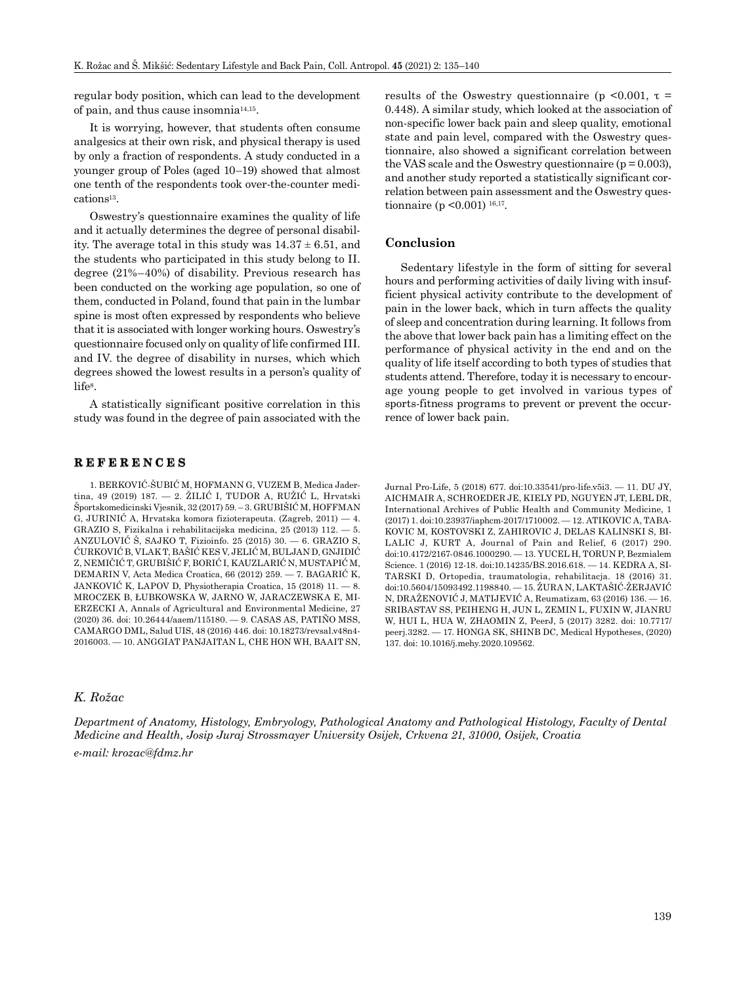regular body position, which can lead to the development of pain, and thus cause insomnia14,15.

It is worrying, however, that students often consume analgesics at their own risk, and physical therapy is used by only a fraction of respondents. A study conducted in a younger group of Poles (aged 10–19) showed that almost one tenth of the respondents took over-the-counter medications13.

Oswestry's questionnaire examines the quality of life and it actually determines the degree of personal disability. The average total in this study was  $14.37 \pm 6.51$ , and the students who participated in this study belong to II. degree (21%–40%) of disability. Previous research has been conducted on the working age population, so one of them, conducted in Poland, found that pain in the lumbar spine is most often expressed by respondents who believe that it is associated with longer working hours. Oswestry's questionnaire focused only on quality of life confirmed III. and IV. the degree of disability in nurses, which which degrees showed the lowest results in a person's quality of life8.

A statistically significant positive correlation in this study was found in the degree of pain associated with the

#### **REFERENCES**

1. BERKOVIĆ-ŠUBIĆ M, HOFMANN G, VUZEM B, Medica Jadertina, 49 (2019) 187. — 2. ŽILIĆ I, TUDOR A, RUŽIĆ L, Hrvatski Športskomedicinski Vjesnik, 32 (2017) 59. – 3. GRUBIŠIĆ M, HOFFMAN G, JURINIĆ A, Hrvatska komora fizioterapeuta. (Zagreb, 2011) — 4. GRAZIO S, Fizikalna i rehabilitacijska medicina, 25 (2013) 112. — 5. ANZULOVIĆ Š, SAJKO T, Fizioinfo. 25 (2015) 30. — 6. GRAZIO S, ĆURKOVIĆ B, VLAK T, BAŠIĆ KES V, JELIĆ M, BULJAN D, GNJIDIĆ Z, NEMIČIĆ T, GRUBIŠIĆ F, BORIĆ I, KAUZLARIĆ N, MUSTAPIĆ M, DEMARIN V, Acta Medica Croatica, 66 (2012) 259. — 7. BAGARIĆ K, JANKOVIĆ K, LAPOV D, Physiotherapia Croatica, 15 (2018) 11. — 8. MROCZEK B, ŁUBKOWSKA W, JARNO W, JARACZEWSKA E, MI-ERZECKI A, Annals of Agricultural and Environmental Medicine, 27 (2020) 36. doi: 10.26444/aaem/115180. — 9. CASAS AS, PATIÑO MSS, CAMARGO DML, Salud UIS, 48 (2016) 446. doi: 10.18273/revsal.v48n4- 2016003. — 10. ANGGIAT PANJAITAN L, CHE HON WH, BAAIT SN,

### *K. Rožac*

*Department of Anatomy, Histology, Embryology, Pathological Anatomy and Pathological Histology, Faculty of Dental Medicine and Health, Josip Juraj Strossmayer University Osijek, Crkvena 21, 31000, Osijek, Croatia e-mail: krozac@fdmz.hr*

results of the Oswestry questionnaire (p <0.001,  $\tau$  = 0.448). A similar study, which looked at the association of non-specific lower back pain and sleep quality, emotional state and pain level, compared with the Oswestry questionnaire, also showed a significant correlation between the VAS scale and the Oswestry questionnaire ( $p = 0.003$ ). and another study reported a statistically significant correlation between pain assessment and the Oswestry questionnaire (p < 0.001)  $^{16,17}$ .

#### **Conclusion**

Sedentary lifestyle in the form of sitting for several hours and performing activities of daily living with insufficient physical activity contribute to the development of pain in the lower back, which in turn affects the quality of sleep and concentration during learning. It follows from the above that lower back pain has a limiting effect on the performance of physical activity in the end and on the quality of life itself according to both types of studies that students attend. Therefore, today it is necessary to encourage young people to get involved in various types of sports-fitness programs to prevent or prevent the occurrence of lower back pain.

Jurnal Pro-Life, 5 (2018) 677. doi:10.33541/pro-life.v5i3. — 11. DU JY, AICHMAIR A, SCHROEDER JE, KIELY PD, NGUYEN JT, LEBL DR, International Archives of Public Health and Community Medicine, 1 (2017) 1. doi:10.23937/iaphcm-2017/1710002. — 12. ATIKOVIC A, TABA-KOVIC M, KOSTOVSKI Z, ZAHIROVIC J, DELAS KALINSKI S, BI-LALIC J, KURT A, Journal of Pain and Relief, 6 (2017) 290. doi:10.4172/2167-0846.1000290. — 13. YUCEL H, TORUN P, Bezmialem Science. 1 (2016) 12-18. doi:10.14235/BS.2016.618. — 14. KEDRA A, SI-TARSKI D, Ortopedia, traumatologia, rehabilitacja. 18 (2016) 31. doi:10.5604/15093492.1198840. — 15. ŽURA N, LAKTAŠIĆ-ŽERJAVIĆ N, DRAŽENOVIĆ J, MATIJEVIĆ A, Reumatizam, 63 (2016) 136. — 16. SRIBASTAV SS, PEIHENG H, JUN L, ZEMIN L, FUXIN W, JIANRU W, HUI L, HUA W, ZHAOMIN Z, PeerJ, 5 (2017) 3282. doi: 10.7717/ peerj.3282. — 17. HONGA SK, SHINB DC, Medical Hypotheses, (2020) 137. doi: 10.1016/j.mehy.2020.109562.